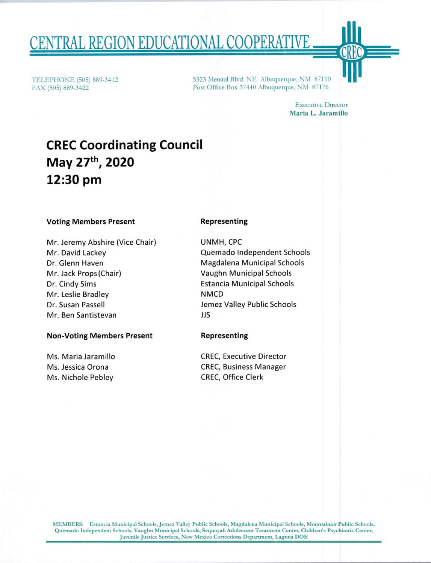# ENTRAL REGION EDUCATIONAL COOPERATIVE

TELEPHONE (505) 889-3412 FAX (505) 889-3422

5323 Menaul Blvd. NE Albuquerque, NM 87110 Post Office Box 37440 Albuquerque, NM 87176

> Executive Director Maria L. Jaramillo

# CREC Coordinating Council May 27<sup>th</sup>, 2020 12:30 pm

#### Voting Members Present

Mr. Jeremy Abshire (Vice Chair) Mr. David Lackey Dr. Glenn Haven Mr. Jack Props (Chair) Dr. Cindy Sims Mr. Leslie Bradley Dr. Susan PasseII Mr. Ben Santistevan

#### Non-Voting Members Present

Ms. Maria Jaramillo Ms. Jessica Orona Ms. Nichole Pebley

#### Representing

UNMH, CPC Quemado Independent Schools Magdalena Municipal Schools Vaughn Municipal Schools Estancia Municipal Schools **NMCD** Jemez Valley Public Schools JJS

#### Representing

CREC, Executive Director CREC, Business Manager CREC, Office Clerk

MEMBERS: Estancia Municipal Schools, Jemez Valley Public Schools, Magdalena Municipal Schools, Mountainair Public Schools, Quemado Independent Schools, Vaughn Municipal Schools, Sequoyah Adolescent Treatment Center, Children's Psychiatric Center, Juvenile Justice Services, New Mexico Corrections Department, Laguna DOE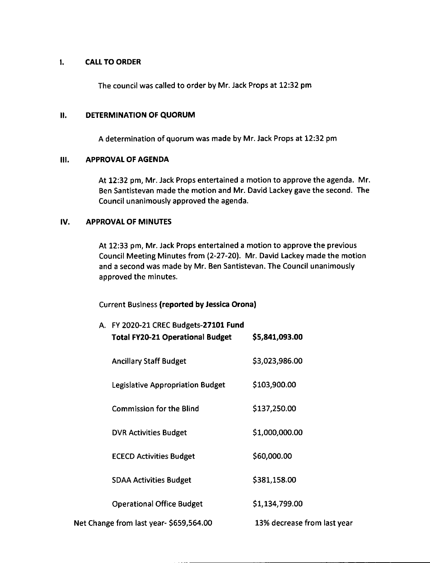#### I. CALL TO ORDER

The council was called to order by Mr. Jack Props at 12:32 pm

#### II. DETERMINATION OF QUORUM

A determination of quorum was made by Mr. Jack Props at 12:32 pm

### III. APPROVAL OF AGENDA

At 12:32 pm, Mr. Jack Props entertained a motion to approve the agenda. Mr. Ben Santistevan made the motion and Mr. David Lackey gave the second. The Council unanimously approved the agenda.

## IV. APPROVAL OF MINUTES

At 12:33 pm, Mr. Jack Props entertained a motion to approve the previous Council Meeting Minutes from (2-27-20). Mr. David Lackey made the motion and a second was made by Mr. Ben Santistevan. The Council unanimously approved the minutes.

Current Business (reported by Jessica Orona)

| A. FY 2020-21 CREC Budgets-27101 Fund   |                             |
|-----------------------------------------|-----------------------------|
| <b>Total FY20-21 Operational Budget</b> | \$5,841,093.00              |
| <b>Ancillary Staff Budget</b>           | \$3,023,986.00              |
| Legislative Appropriation Budget        | \$103,900.00                |
| <b>Commission for the Blind</b>         | \$137,250.00                |
| <b>DVR Activities Budget</b>            | \$1,000,000.00              |
| <b>ECECD Activities Budget</b>          | \$60,000.00                 |
| <b>SDAA Activities Budget</b>           | \$381,158.00                |
| <b>Operational Office Budget</b>        | \$1,134,799.00              |
| Net Change from last year- \$659,564.00 | 13% decrease from last year |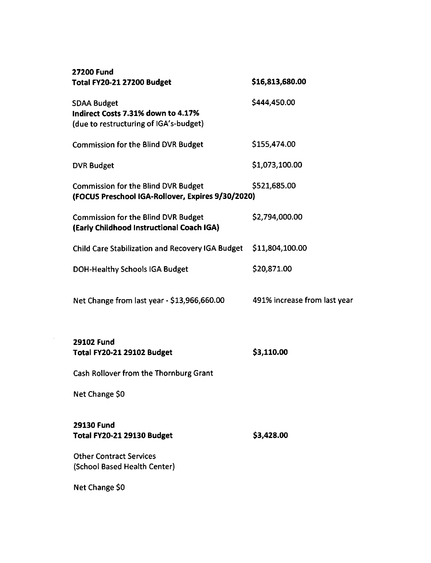| <b>27200 Fund</b><br><b>Total FY20-21 27200 Budget</b>                                                                   | \$16,813,680.00              |
|--------------------------------------------------------------------------------------------------------------------------|------------------------------|
| <b>SDAA Budget</b><br>Indirect Costs 7.31% down to 4.17%<br>(due to restructuring of IGA's-budget)                       | \$444,450.00                 |
| <b>Commission for the Blind DVR Budget</b>                                                                               | \$155,474.00                 |
| <b>DVR Budget</b>                                                                                                        | \$1,073,100.00               |
| <b>Commission for the Blind DVR Budget</b><br>(FOCUS Preschool IGA-Rollover, Expires 9/30/2020)                          | \$521,685.00                 |
| <b>Commission for the Blind DVR Budget</b><br>(Early Childhood Instructional Coach IGA)                                  | \$2,794,000.00               |
| <b>Child Care Stabilization and Recovery IGA Budget</b>                                                                  | \$11,804,100.00              |
| <b>DOH-Healthy Schools IGA Budget</b>                                                                                    | \$20,871.00                  |
| Net Change from last year - \$13,966,660.00                                                                              | 491% increase from last year |
| <b>29102 Fund</b><br><b>Total FY20-21 29102 Budget</b><br>Cash Rollover from the Thornburg Grant                         | \$3,110.00                   |
| Net Change \$0                                                                                                           |                              |
| <b>29130 Fund</b><br><b>Total FY20-21 29130 Budget</b><br><b>Other Contract Services</b><br>(School Based Health Center) | \$3,428.00                   |
|                                                                                                                          |                              |

Net Change \$0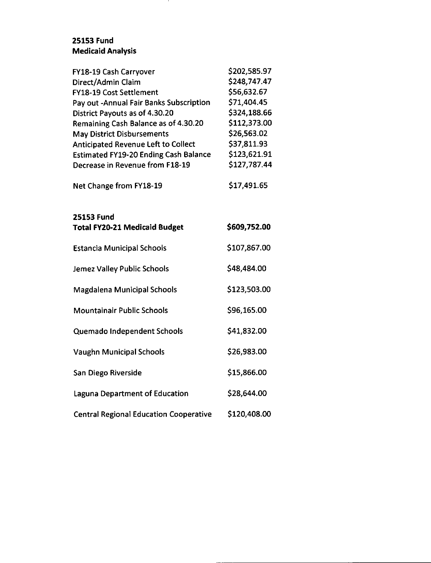# 25153 Fund Medicaid Analysis

| FY18-19 Cash Carryover                             | \$202,585.97 |
|----------------------------------------------------|--------------|
| Direct/Admin Claim                                 | \$248,747.47 |
| FY18-19 Cost Settlement                            | \$56,632.67  |
| Pay out - Annual Fair Banks Subscription           | \$71,404.45  |
| District Payouts as of 4.30.20                     | \$324,188.66 |
| Remaining Cash Balance as of 4.30.20               | \$112,373.00 |
| <b>May District Disbursements</b>                  | \$26,563.02  |
| Anticipated Revenue Left to Collect                | \$37,811.93  |
| <b>Estimated FY19-20 Ending Cash Balance</b>       | \$123,621.91 |
| Decrease in Revenue from F18-19                    | \$127,787.44 |
| Net Change from FY18-19                            | \$17,491.65  |
| 25153 Fund<br><b>Total FY20-21 Medicaid Budget</b> | \$609,752.00 |
| <b>Estancia Municipal Schools</b>                  | \$107,867.00 |
| Jemez Valley Public Schools                        | \$48,484.00  |
| Magdalena Municipal Schools                        | \$123,503.00 |
| <b>Mountainair Public Schools</b>                  | \$96,165.00  |
| Quemado Independent Schools                        | \$41,832.00  |
| <b>Vaughn Municipal Schools</b>                    | \$26,983.00  |
| San Diego Riverside                                | \$15,866.00  |
| <b>Laguna Department of Education</b>              | \$28,644.00  |
| <b>Central Regional Education Cooperative</b>      | \$120,408.00 |

- 50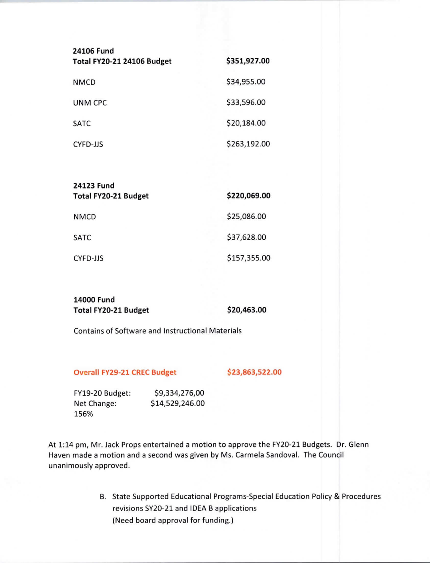| 24106 Fund                        |              |
|-----------------------------------|--------------|
| <b>Total FY20-21 24106 Budget</b> | \$351,927.00 |
| <b>NMCD</b>                       | \$34,955.00  |
| UNM CPC                           | \$33,596.00  |
| <b>SATC</b>                       | \$20,184.00  |
| CYFD-JJS                          | \$263,192.00 |

| 24123 Fund<br>Total FY20-21 Budget | \$220,069.00 |  |
|------------------------------------|--------------|--|
| <b>NMCD</b>                        | \$25,086.00  |  |
| <b>SATC</b>                        | \$37,628.00  |  |
| CYFD-JJS                           | \$157,355.00 |  |

| 14000 Fund           |             |
|----------------------|-------------|
| Total FY20-21 Budget | \$20,463.00 |

Contains of Software and Instructional Materials

# Overall FY29-21 CREC Budget \$23,863,522.00

| FY19-20 Budget: | \$9,334,276,00  |
|-----------------|-----------------|
| Net Change:     | \$14,529,246.00 |
| 156%            |                 |

At 1:14 pm, Mr. Jack Props entertained a motion to approve the FY20-21 Budgets. Dr. Glenn Haven made a motion and a second was given by Ms. Carmela Sandoval. The Council unanimously approved.

> B. State Supported Educational Programs-Special Education Policy & Procedures revisions SY20-21 and IDEA B applications (Need board approval for funding.)